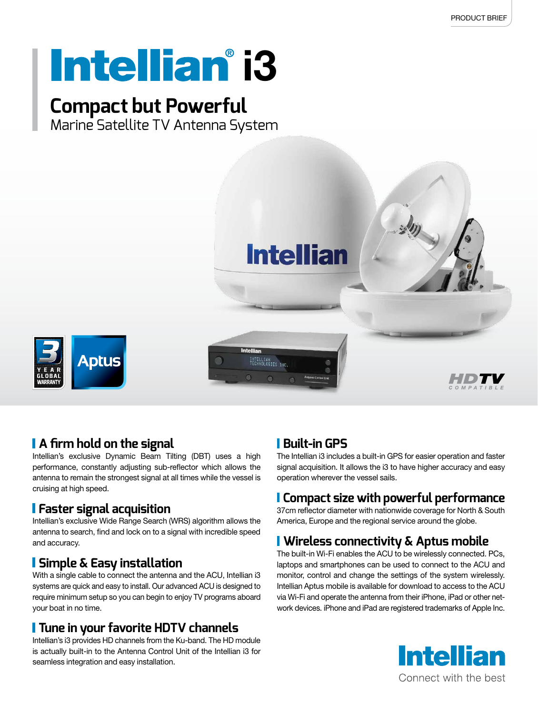# **Intellian** i3

# **Compact but Powerful**

Marine Satellite TV Antenna System



# **A firm hold on the signal**

Intellian's exclusive Dynamic Beam Tilting (DBT) uses a high performance, constantly adjusting sub-reflector which allows the antenna to remain the strongest signal at all times while the vessel is cruising at high speed.

# **Faster signal acquisition**

Intellian's exclusive Wide Range Search (WRS) algorithm allows the antenna to search, find and lock on to a signal with incredible speed and accuracy.

### **Simple & Easy installation**

With a single cable to connect the antenna and the ACU, Intellian i3 systems are quick and easy to install. Our advanced ACU is designed to require minimum setup so you can begin to enjoy TV programs aboard your boat in no time.

# **Tune in your favorite HDTV channels**

Intellian's i3 provides HD channels from the Ku-band. The HD module is actually built-in to the Antenna Control Unit of the Intellian i3 for seamless integration and easy installation.

# **Built-in GPS**

The Intellian i3 includes a built-in GPS for easier operation and faster signal acquisition. It allows the i3 to have higher accuracy and easy operation wherever the vessel sails.

# **Compact size with powerful performance**

37cm reflector diameter with nationwide coverage for North & South America, Europe and the regional service around the globe.

# **Wireless connectivity & Aptus mobile**

The built-in Wi-Fi enables the ACU to be wirelessly connected. PCs, laptops and smartphones can be used to connect to the ACU and monitor, control and change the settings of the system wirelessly. Intellian Aptus mobile is available for download to access to the ACU via Wi-Fi and operate the antenna from their iPhone, iPad or other network devices. iPhone and iPad are registered trademarks of Apple Inc.